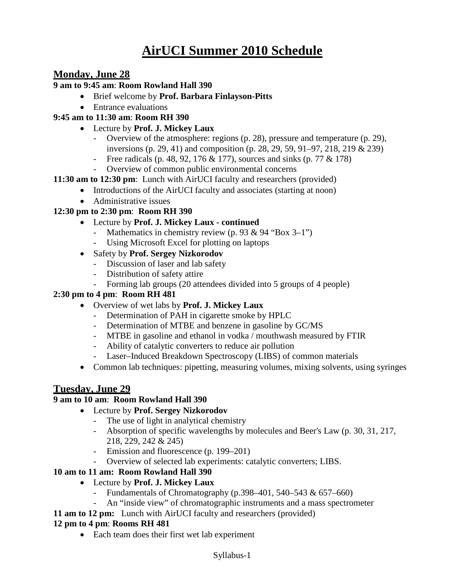# **AirUCI Summer 2010 Schedule**

# **Monday, June 28**

#### **9 am to 9:45 am**: **Room Rowland Hall 390**

- Brief welcome by **Prof. Barbara Finlayson-Pitts**
- Entrance evaluations

# **9:45 am to 11:30 am**: **Room RH 390**

- Lecture by **Prof. J. Mickey Laux**
	- Overview of the atmosphere: regions (p. 28), pressure and temperature (p. 29), inversions (p. 29, 41) and composition (p. 28, 29, 59, 91–97, 218, 219 & 239)
	- Free radicals (p. 48, 92, 176 & 177), sources and sinks (p. 77 & 178)
	- Overview of common public environmental concerns
- **11:30 am to 12:30 pm**: Lunch with AirUCI faculty and researchers (provided)
	- Introductions of the AirUCI faculty and associates (starting at noon)
		- Administrative issues

## **12:30 pm to 2:30 pm**: **Room RH 390**

- Lecture by **Prof. J. Mickey Laux - continued**
	- Mathematics in chemistry review (p. 93 & 94 "Box 3–1")
	- Using Microsoft Excel for plotting on laptops
- Safety by **Prof. Sergey Nizkorodov**
	- Discussion of laser and lab safety
	- Distribution of safety attire
	- Forming lab groups (20 attendees divided into 5 groups of 4 people)

#### **2:30 pm to 4 pm**: **Room RH 481**

- Overview of wet labs by **Prof. J. Mickey Laux**
	- Determination of PAH in cigarette smoke by HPLC
	- Determination of MTBE and benzene in gasoline by GC/MS
	- MTBE in gasoline and ethanol in vodka / mouthwash measured by FTIR
	- Ability of catalytic converters to reduce air pollution
	- Laser–Induced Breakdown Spectroscopy (LIBS) of common materials
- Common lab techniques: pipetting, measuring volumes, mixing solvents, using syringes

# **Tuesday, June 29**

#### **9 am to 10 am**: **Room Rowland Hall 390**

- Lecture by **Prof. Sergey Nizkorodov**
	- The use of light in analytical chemistry
	- Absorption of specific wavelengths by molecules and Beer's Law (p. 30, 31, 217, 218, 229, 242 & 245)
	- Emission and fluorescence (p. 199–201)
	- Overview of selected lab experiments: catalytic converters; LIBS.

## **10 am to 11 am: Room Rowland Hall 390**

- Lecture by **Prof. J. Mickey Laux** 
	- Fundamentals of Chromatography  $(p.398-401, 540-543 \& 657-660)$
	- An "inside view" of chromatographic instruments and a mass spectrometer
- **11 am to 12 pm:** Lunch with AirUCI faculty and researchers (provided)

#### **12 pm to 4 pm**: **Rooms RH 481**

• Each team does their first wet lab experiment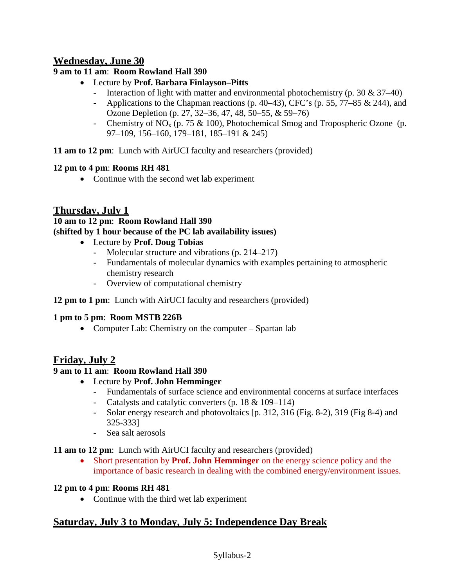# **Wednesday, June 30**

# **9 am to 11 am**: **Room Rowland Hall 390**

- Lecture by **Prof. Barbara Finlayson–Pitts**
	- Interaction of light with matter and environmental photochemistry (p. 30 & 37–40)
	- Applications to the Chapman reactions (p. 40–43), CFC's (p. 55, 77–85 & 244), and Ozone Depletion (p. 27, 32–36, 47, 48, 50–55, & 59–76)
	- Chemistry of NO<sub>x</sub> (p. 75 & 100), Photochemical Smog and Tropospheric Ozone (p. 97–109, 156–160, 179–181, 185–191 & 245)

**11 am to 12 pm**: Lunch with AirUCI faculty and researchers (provided)

# **12 pm to 4 pm**: **Rooms RH 481**

• Continue with the second wet lab experiment

# **Thursday, July 1**

## **10 am to 12 pm**: **Room Rowland Hall 390 (shifted by 1 hour because of the PC lab availability issues)**

- Lecture by **Prof. Doug Tobias**
	- Molecular structure and vibrations (p. 214–217)
	- Fundamentals of molecular dynamics with examples pertaining to atmospheric chemistry research
	- Overview of computational chemistry

## **12 pm to 1 pm**: Lunch with AirUCI faculty and researchers (provided)

## **1 pm to 5 pm**: **Room MSTB 226B**

• Computer Lab: Chemistry on the computer – Spartan lab

# **Friday, July 2**

# **9 am to 11 am**: **Room Rowland Hall 390**

- Lecture by **Prof. John Hemminger**
	- Fundamentals of surface science and environmental concerns at surface interfaces
	- Catalysts and catalytic converters (p. 18 & 109–114)
	- Solar energy research and photovoltaics [p. 312, 316 (Fig. 8-2), 319 (Fig 8-4) and 325-333]
	- Sea salt aerosols

## **11 am to 12 pm**: Lunch with AirUCI faculty and researchers (provided)

• Short presentation by **Prof. John Hemminger** on the energy science policy and the importance of basic research in dealing with the combined energy/environment issues.

## **12 pm to 4 pm**: **Rooms RH 481**

• Continue with the third wet lab experiment

# **Saturday, July 3 to Monday, July 5: Independence Day Break**